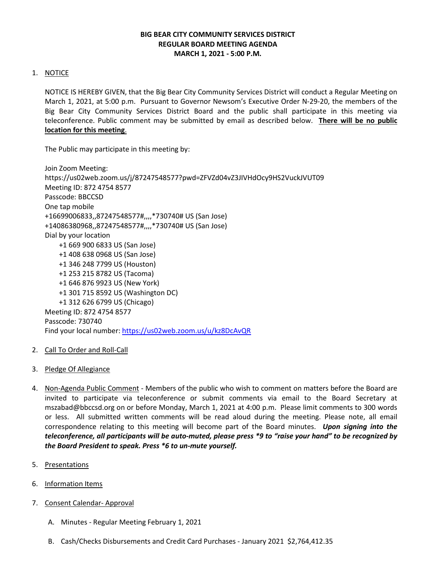# **BIG BEAR CITY COMMUNITY SERVICES DISTRICT REGULAR BOARD MEETING AGENDA MARCH 1, 2021 - 5:00 P.M.**

# 1. NOTICE

NOTICE IS HEREBY GIVEN, that the Big Bear City Community Services District will conduct a Regular Meeting on March 1, 2021, at 5:00 p.m. Pursuant to Governor Newsom's Executive Order N-29-20, the members of the Big Bear City Community Services District Board and the public shall participate in this meeting via teleconference. Public comment may be submitted by email as described below. **There will be no public location for this meeting**.

The Public may participate in this meeting by:

Join Zoom Meeting: https://us02web.zoom.us/j/87247548577?pwd=ZFVZd04vZ3JIVHdOcy9HS2VuckJVUT09 Meeting ID: 872 4754 8577 Passcode: BBCCSD One tap mobile +16699006833,,87247548577#,,,,\*730740# US (San Jose) +14086380968,,87247548577#,,,,\*730740# US (San Jose) Dial by your location +1 669 900 6833 US (San Jose) +1 408 638 0968 US (San Jose) +1 346 248 7799 US (Houston) +1 253 215 8782 US (Tacoma) +1 646 876 9923 US (New York) +1 301 715 8592 US (Washington DC) +1 312 626 6799 US (Chicago) Meeting ID: 872 4754 8577 Passcode: 730740 Find your local number[: https://us02web.zoom.us/u/kz8DcAvQR](https://us02web.zoom.us/u/kz8DcAvQR)

- 2. Call To Order and Roll-Call
- 3. Pledge Of Allegiance
- 4. Non-Agenda Public Comment Members of the public who wish to comment on matters before the Board are invited to participate via teleconference or submit comments via email to the Board Secretary at mszabad@bbccsd.org on or before Monday, March 1, 2021 at 4:00 p.m. Please limit comments to 300 words or less. All submitted written comments will be read aloud during the meeting. Please note, all email correspondence relating to this meeting will become part of the Board minutes. *Upon signing into the teleconference, all participants will be auto-muted, please press \*9 to "raise your hand" to be recognized by the Board President to speak. Press \*6 to un-mute yourself.*
- 5. Presentations
- 6. Information Items
- 7. Consent Calendar- Approval
	- A. Minutes Regular Meeting February 1, 2021
	- B. Cash/Checks Disbursements and Credit Card Purchases January 2021 \$2,764,412.35